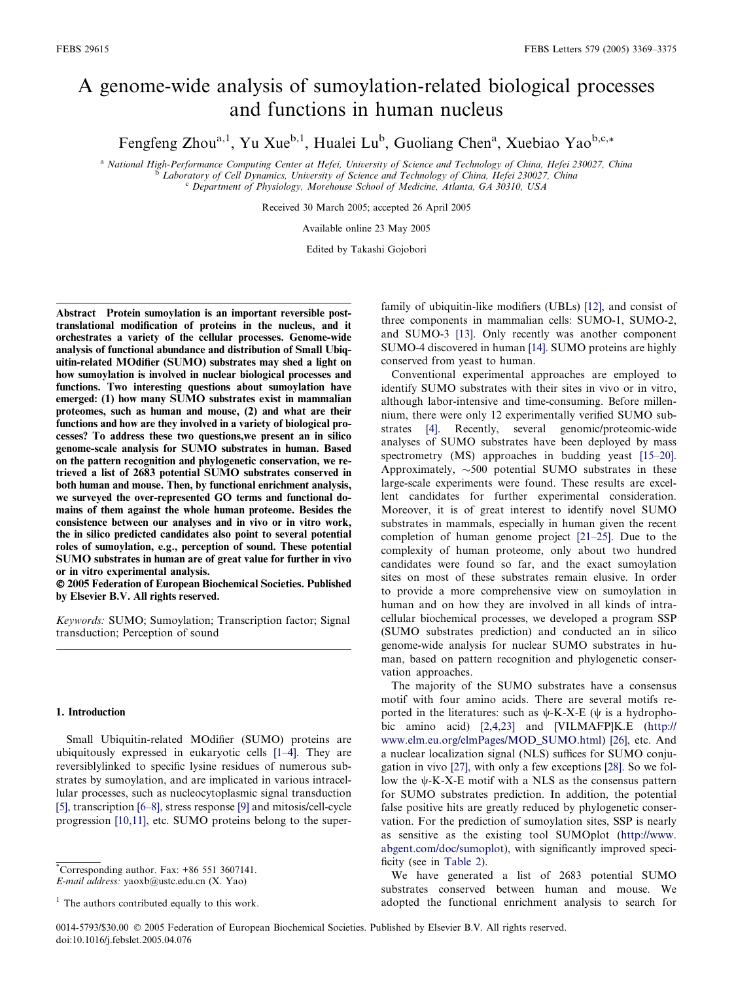# A genome-wide analysis of sumoylation-related biological processes and functions in human nucleus

Fengfeng Zhou<sup>a,1</sup>, Yu Xue<sup>b,1</sup>, Hualei Lu<sup>b</sup>, Guoliang Chen<sup>a</sup>, Xuebiao Yao<sup>b,c,\*</sup>

<sup>a</sup> National High-Performance Computing Center at Hefei, University of Science and Technology of China, Hefei 230027, China<br><sup>b</sup> Laboratory of Cell Dynamics, University of Science and Technology of China, Hefei 230027, Chin

Received 30 March 2005; accepted 26 April 2005

Available online 23 May 2005

Edited by Takashi Gojobori

Abstract Protein sumoylation is an important reversible posttranslational modification of proteins in the nucleus, and it orchestrates a variety of the cellular processes. Genome-wide analysis of functional abundance and distribution of Small Ubiquitin-related MOdifier (SUMO) substrates may shed a light on how sumoylation is involved in nuclear biological processes and functions. Two interesting questions about sumoylation have emerged: (1) how many SUMO substrates exist in mammalian proteomes, such as human and mouse, (2) and what are their functions and how are they involved in a variety of biological processes? To address these two questions,we present an in silico genome-scale analysis for SUMO substrates in human. Based on the pattern recognition and phylogenetic conservation, we retrieved a list of 2683 potential SUMO substrates conserved in both human and mouse. Then, by functional enrichment analysis, we surveyed the over-represented GO terms and functional domains of them against the whole human proteome. Besides the consistence between our analyses and in vivo or in vitro work, the in silico predicted candidates also point to several potential roles of sumoylation, e.g., perception of sound. These potential SUMO substrates in human are of great value for further in vivo or in vitro experimental analysis.

 2005 Federation of European Biochemical Societies. Published by Elsevier B.V. All rights reserved.

Keywords: SUMO; Sumoylation; Transcription factor; Signal transduction; Perception of sound

#### 1. Introduction

Small Ubiquitin-related MOdifier (SUMO) proteins are ubiquitously expressed in eukaryotic cells [\[1–4\].](#page-5-0) They are reversiblylinked to specific lysine residues of numerous substrates by sumoylation, and are implicated in various intracellular processes, such as nucleocytoplasmic signal transduction [\[5\],](#page-6-0) transcription [\[6–8\]](#page-6-0), stress response [\[9\]](#page-6-0) and mitosis/cell-cycle progression [\[10,11\]](#page-6-0), etc. SUMO proteins belong to the super-

family of ubiquitin-like modifiers (UBLs) [\[12\],](#page-6-0) and consist of three components in mammalian cells: SUMO-1, SUMO-2, and SUMO-3 [\[13\].](#page-6-0) Only recently was another component SUMO-4 discovered in human [\[14\]](#page-6-0). SUMO proteins are highly conserved from yeast to human.

Conventional experimental approaches are employed to identify SUMO substrates with their sites in vivo or in vitro, although labor-intensive and time-consuming. Before millennium, there were only 12 experimentally verified SUMO substrates [\[4\]](#page-6-0). Recently, several genomic/proteomic-wide analyses of SUMO substrates have been deployed by mass spectrometry (MS) approaches in budding yeast [\[15–20\]](#page-6-0). Approximately,  $\sim$ 500 potential SUMO substrates in these large-scale experiments were found. These results are excellent candidates for further experimental consideration. Moreover, it is of great interest to identify novel SUMO substrates in mammals, especially in human given the recent completion of human genome project [\[21–25\]](#page-6-0). Due to the complexity of human proteome, only about two hundred candidates were found so far, and the exact sumoylation sites on most of these substrates remain elusive. In order to provide a more comprehensive view on sumoylation in human and on how they are involved in all kinds of intracellular biochemical processes, we developed a program SSP (SUMO substrates prediction) and conducted an in silico genome-wide analysis for nuclear SUMO substrates in human, based on pattern recognition and phylogenetic conservation approaches.

The majority of the SUMO substrates have a consensus motif with four amino acids. There are several motifs reported in the literatures: such as  $\psi$ -K-X-E ( $\psi$  is a hydrophobic amino acid) [\[2,4,23\]](#page-5-0) and [VILMAFP]K.E [\(http://](http://973-proteinweb.ustc.edu.cn/sumo/) [www.elm.eu.org/elmPages/MOD\\_SUMO.html\)](http://973-proteinweb.ustc.edu.cn/sumo/) [\[26\]](#page-6-0), etc. And a nuclear localization signal (NLS) suffices for SUMO conjugation in vivo [\[27\],](#page-6-0) with only a few exceptions [\[28\]](#page-6-0). So we follow the  $\psi$ -K-X-E motif with a NLS as the consensus pattern for SUMO substrates prediction. In addition, the potential false positive hits are greatly reduced by phylogenetic conservation. For the prediction of sumoylation sites, SSP is nearly as sensitive as the existing tool SUMOplot [\(http://www.](http://www.abgent.com/doc/sumoplot) [abgent.com/doc/sumoplot\)](http://www.abgent.com/doc/sumoplot), with significantly improved specificity (see in [Table 2](#page-3-0)).

We have generated a list of 2683 potential SUMO substrates conserved between human and mouse. We adopted the functional enrichment analysis to search for

<sup>\*</sup> Corresponding author. Fax: +86 551 3607141. E-mail address: yaoxb@ustc.edu.cn (X. Yao)

 $<sup>1</sup>$  The authors contributed equally to this work.</sup>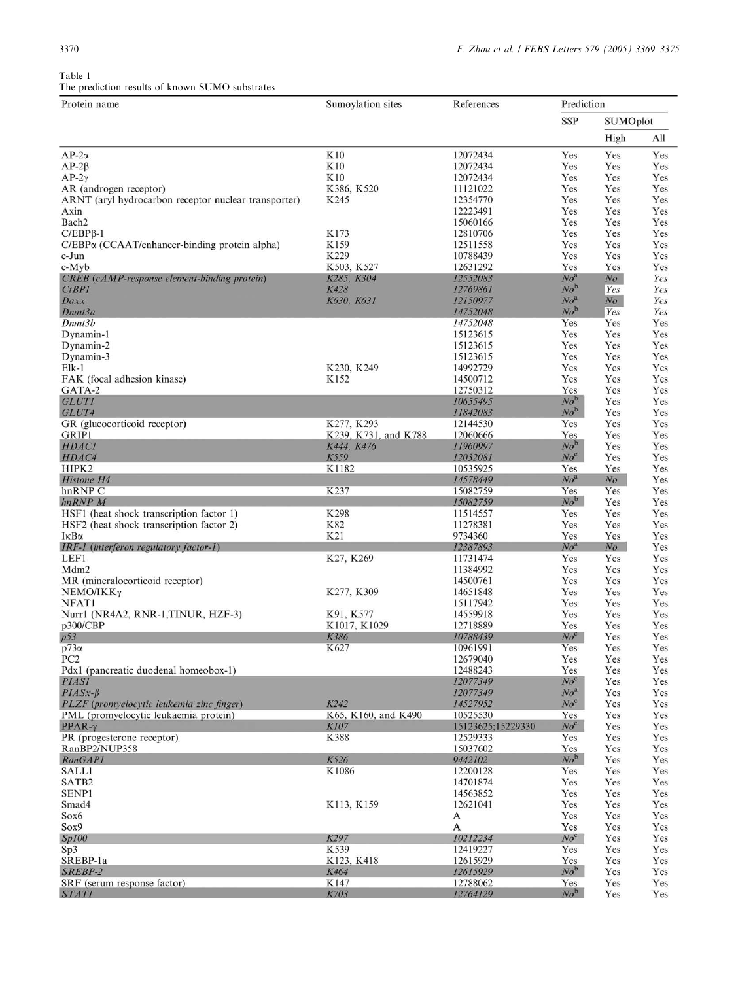# <span id="page-1-0"></span>Table 1 The prediction results of known SUMO substrates

| The prediction results of known both o substrates<br>Protein name | Sumoylation sites    | References           | Prediction                 |            |            |
|-------------------------------------------------------------------|----------------------|----------------------|----------------------------|------------|------------|
|                                                                   |                      |                      | SSP                        | SUMOplot   |            |
|                                                                   |                      |                      |                            | High       | All        |
| $AP-2\alpha$                                                      | K10                  | 12072434             | Yes                        | Yes        | Yes        |
| $AP-2\beta$                                                       | K10                  | 12072434             | Yes                        | Yes        | Yes        |
| $AP-2\gamma$                                                      | K10                  | 12072434             | Yes                        | Yes        | Yes        |
| AR (androgen receptor)                                            | K386, K520           | 11121022             | Yes                        | Yes        | Yes        |
| ARNT (aryl hydrocarbon receptor nuclear transporter)              | K245                 | 12354770             | Yes                        | Yes        | Yes        |
| Axin                                                              |                      | 12223491             | Yes                        | Yes        | Yes        |
| Bach <sub>2</sub>                                                 |                      | 15060166             | Yes                        | Yes        | Yes        |
| $C/EBP\beta-1$                                                    | K173                 | 12810706             | Yes                        | Yes        | Yes        |
| C/EBP <sub>x</sub> (CCAAT/enhancer-binding protein alpha)         | K159                 | 12511558             | Yes                        | Yes        | Yes        |
| c-Jun                                                             | K229<br>K503, K527   | 10788439<br>12631292 | Yes<br>Yes                 | Yes<br>Yes | Yes<br>Yes |
| c-Myb<br>CREB (cAMP-response element-binding protein)             | K285, K304           | 12552083             | $No^{\rm a}$               | $N_{O}$    | Yes        |
| CtBP1                                                             | K428                 | 12769861             | $No^{\rm b}$               | Yes        | Yes        |
| Daxx                                                              | K630, K631           | 12150977             | $\mathit{No}^{\mathrm{a}}$ | $N$ o      | Yes        |
| Dnmt3a                                                            |                      | 14752048             | $No^{\rm b}$               | Yes        | Yes        |
| Dnmt3b                                                            |                      | 14752048             | Yes                        | Yes        | Yes        |
| Dynamin-1                                                         |                      | 15123615             | Yes                        | Yes        | Yes        |
| Dynamin-2                                                         |                      | 15123615             | Yes                        | Yes        | Yes        |
| Dynamin-3                                                         |                      | 15123615             | Yes                        | Yes        | Yes        |
| $Elk-1$                                                           | K230, K249           | 14992729             | Yes                        | Yes        | Yes        |
| FAK (focal adhesion kinase)                                       | K152                 | 14500712             | Yes                        | Yes        | Yes        |
| GATA-2                                                            |                      | 12750312             | Yes                        | Yes        | Yes        |
| <b>GLUTI</b>                                                      |                      | 10655495             | $No^b$                     | Yes        | Yes        |
| GLUT4                                                             |                      | 11842083             | $No^{\rm b}$               | Yes        | Yes        |
| GR (glucocorticoid receptor)                                      | K277, K293           | 12144530             | Yes                        | Yes        | Yes        |
| GRIP1                                                             | K239, K731, and K788 | 12060666             | Yes                        | Yes        | Yes        |
| HDACI                                                             | K444, K476           | 11960997             | $No^{\rm b}$               | Yes        | Yes        |
| HDAC4                                                             | K559                 | 12032081             | $No^c$                     | Yes        | Yes        |
| HIPK2                                                             | K1182                | 10535925             | Yes                        | Yes        | Yes        |
| Histone H4                                                        |                      | 14578449             | No <sup>a</sup>            | $N_{O}$    | Yes        |
| hnRNP C                                                           | K237                 | 15082759             | Yes                        | Yes        | Yes        |
| $hnRNP$ $M$                                                       |                      | 15082759             | $No^b$                     | Yes        | Yes        |
| HSF1 (heat shock transcription factor 1)                          | K298                 | 11514557             | Yes                        | Yes        | Yes        |
| HSF2 (heat shock transcription factor 2)                          | K82                  | 11278381             | Yes                        | Yes        | Yes        |
| $I\kappa B\alpha$                                                 | K21                  | 9734360              | Yes                        | Yes        | Yes        |
| IRF-1 (interferon regulatory factor-1)                            |                      | 12387893             | $No^a$                     | $N_o$      | Yes        |
| LEF1                                                              | K27, K269            | 11731474             | Yes                        | Yes        | Yes        |
| Mdm <sub>2</sub>                                                  |                      | 11384992             | Yes                        | Yes        | Yes        |
| MR (mineralocorticoid receptor)                                   |                      | 14500761             | Yes                        | Yes        | Yes        |
| $NEMO/IKK\gamma$                                                  | K277, K309           | 14651848<br>15117942 | Yes<br>Yes                 | Yes<br>Yes | Yes        |
| NFAT1<br>Nurr1 (NR4A2, RNR-1, TINUR, HZF-3)                       | K91, K577            | 14559918             | Yes                        | Yes        | Yes<br>Yes |
| p300/CBP                                                          | K1017, K1029         | 12718889             | Yes                        | Yes        | Yes        |
| p53                                                               | K386                 | 10788439             | $No^c$                     | Yes        | Yes        |
| $p73\alpha$                                                       | K627                 | 10961991             | Yes                        | Yes        | Yes        |
| PC <sub>2</sub>                                                   |                      | 12679040             | Yes                        | Yes        | Yes        |
| Pdx1 (pancreatic duodenal homeobox-1)                             |                      | 12488243             | Yes                        | Yes        | Yes        |
| <b>PIASI</b>                                                      |                      | 12077349             | $No^c$                     | Yes        | Yes        |
| $PIASx-\beta$                                                     |                      | 12077349             | $No^a$                     | Yes        | Yes        |
| PLZF (promyelocytic leukemia zinc finger)                         | K242                 | 14527952             | $No^c$                     | Yes        | Yes        |
| PML (promyelocytic leukaemia protein)                             | K65, K160, and K490  | 10525530             | Yes                        | Yes        | Yes        |
| $PPAR-\gamma$                                                     | K107                 | 15123625;15229330    | $No^c$                     | Yes        | Yes        |
| PR (progesterone receptor)                                        | K388                 | 12529333             | Yes                        | Yes        | Yes        |
| RanBP2/NUP358                                                     |                      | 15037602             | Yes                        | Yes        | Yes        |
| RanGAP1                                                           | K526                 | 9442102              | $No^{\rm b}$               | Yes        | Yes        |
| <b>SALL1</b>                                                      | K1086                | 12200128             | Yes                        | Yes        | Yes        |
| SATB2                                                             |                      | 14701874             | Yes                        | Yes        | Yes        |
| SENP1                                                             |                      | 14563852             | Yes                        | Yes        | Yes        |
| Smad4                                                             | K113, K159           | 12621041             | Yes                        | Yes        | Yes        |
| Sox6                                                              |                      | A                    | Yes                        | Yes        | Yes        |
| Sox9                                                              |                      | A                    | Yes                        | Yes        | Yes        |
| Sp100                                                             | K297                 | 10212234             | No <sup>c</sup>            | Yes        | Yes        |
| Sp3                                                               | K539                 | 12419227             | Yes                        | Yes        | Yes        |
| SREBP-1a                                                          | K123, K418           | 12615929             | Yes                        | Yes        | Yes        |
| SREBP-2                                                           | K464                 | 12615929             | $N_o^{\rm b}$              | Yes        | Yes        |
| SRF (serum response factor)                                       | K147                 | 12788062             | Yes                        | Yes        | Yes        |
| <b>STATI</b>                                                      | K703                 | 12764129             | $No^b$                     | Yes        | Yes        |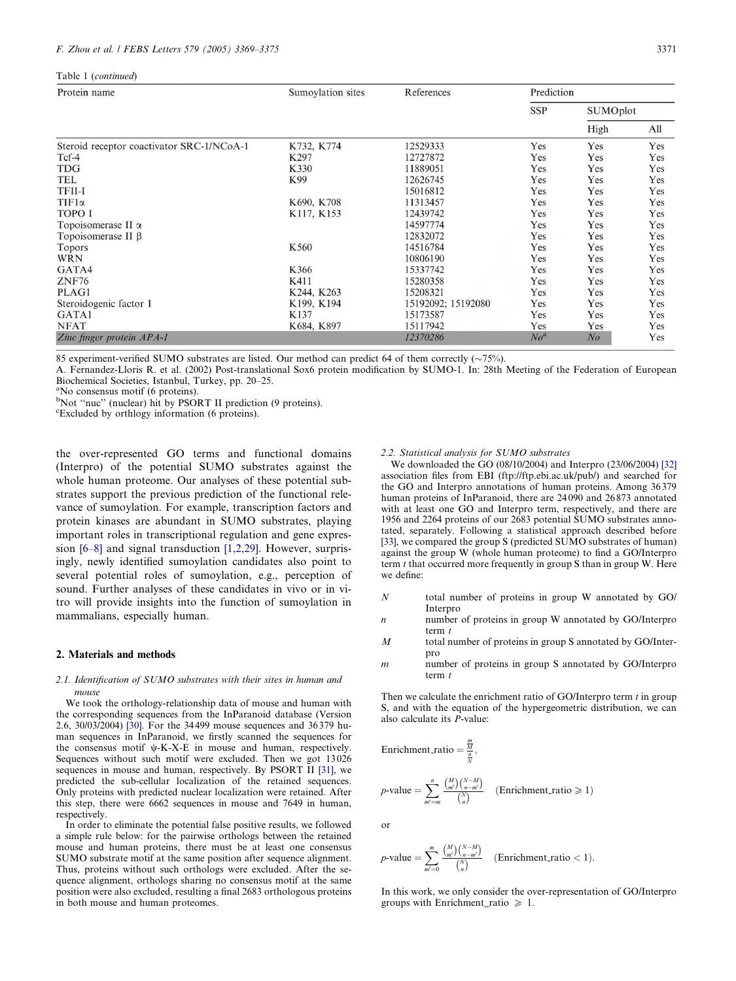$T_{\text{c}}$  1 (continued)

| raon ricommunica                          |                   |                    |              |                |                 |  |
|-------------------------------------------|-------------------|--------------------|--------------|----------------|-----------------|--|
| Protein name                              | Sumoylation sites | References         | Prediction   |                |                 |  |
|                                           |                   |                    | <b>SSP</b>   |                | <b>SUMOplot</b> |  |
|                                           |                   |                    |              | High           | All             |  |
| Steroid receptor coactivator SRC-1/NCoA-1 | K732, K774        | 12529333           | Yes          | Yes            | Yes             |  |
| $Tcf-4$                                   | K297              | 12727872           | Yes          | Yes            | Yes             |  |
| TDG                                       | K330              | 11889051           | Yes          | Yes            | Yes             |  |
| TEL                                       | K99               | 12626745           | Yes          | Yes            | Yes             |  |
| TFII-I                                    |                   | 15016812           | Yes          | Yes            | Yes             |  |
| $TIF1\alpha$                              | K690, K708        | 11313457           | Yes          | Yes            | Yes             |  |
| <b>TOPO I</b>                             | K117, K153        | 12439742           | Yes          | Yes            | Yes             |  |
| Topoisomerase II $\alpha$                 |                   | 14597774           | Yes          | Yes            | Yes             |  |
| Topoisomerase II $\beta$                  |                   | 12832072           | Yes          | Yes            | Yes             |  |
| Topors                                    | K560              | 14516784           | Yes          | Yes            | Yes             |  |
| <b>WRN</b>                                |                   | 10806190           | Yes          | Yes            | Yes             |  |
| GATA4                                     | K366              | 15337742           | Yes          | Yes            | Yes             |  |
| ZNF76                                     | K411              | 15280358           | Yes          | Yes            | Yes             |  |
| PLAG1                                     | K244, K263        | 15208321           | Yes          | Yes            | Yes             |  |
| Steroidogenic factor 1                    | K199, K194        | 15192092; 15192080 | Yes          | Yes            | Yes             |  |
| GATA1                                     | K137              | 15173587           | Yes          | Yes            | Yes             |  |
| <b>NFAT</b>                               | K684, K897        | 15117942           | Yes          | Yes            | Yes             |  |
| Zinc finger protein APA-1                 |                   | 12370286           | $No^{\rm a}$ | N <sub>o</sub> | Yes             |  |

85 experiment-verified SUMO substrates are listed. Our method can predict 64 of them correctly  $(\sim 75\%)$ .

A. Fernandez-Lloris R. et al. (2002) Post-translational Sox6 protein modification by SUMO-1. In: 28th Meeting of the Federation of European Biochemical Societies, Istanbul, Turkey, pp. 20–25.

<sup>a</sup>No consensus motif (6 proteins).

<sup>b</sup>Not "nuc" (nuclear) hit by PSORT II prediction (9 proteins).

<sup>c</sup>Excluded by orthlogy information (6 proteins).

the over-represented GO terms and functional domains (Interpro) of the potential SUMO substrates against the whole human proteome. Our analyses of these potential substrates support the previous prediction of the functional relevance of sumoylation. For example, transcription factors and protein kinases are abundant in SUMO substrates, playing important roles in transcriptional regulation and gene expression [\[6–8\]](#page-6-0) and signal transduction [\[1,2,29\]](#page-5-0). However, surprisingly, newly identified sumoylation candidates also point to several potential roles of sumoylation, e.g., perception of sound. Further analyses of these candidates in vivo or in vitro will provide insights into the function of sumoylation in mammalians, especially human.

# 2. Materials and methods

#### 2.1. Identification of SUMO substrates with their sites in human and mouse

We took the orthology-relationship data of mouse and human with the corresponding sequences from the InParanoid database (Version 2.6, 30/03/2004) [\[30\].](#page-6-0) For the 34 499 mouse sequences and 36 379 human sequences in InParanoid, we firstly scanned the sequences for the consensus motif  $\psi$ -K-X-E in mouse and human, respectively. Sequences without such motif were excluded. Then we got 13 026 sequences in mouse and human, respectively. By PSORT II [\[31\],](#page-6-0) we predicted the sub-cellular localization of the retained sequences. Only proteins with predicted nuclear localization were retained. After this step, there were 6662 sequences in mouse and 7649 in human, respectively.

In order to eliminate the potential false positive results, we followed a simple rule below: for the pairwise orthologs between the retained mouse and human proteins, there must be at least one consensus SUMO substrate motif at the same position after sequence alignment. Thus, proteins without such orthologs were excluded. After the sequence alignment, orthologs sharing no consensus motif at the same position were also excluded, resulting a final 2683 orthologous proteins in both mouse and human proteomes.

#### 2.2. Statistical analysis for SUMO substrates

We downloaded the GO (08/10/2004) and Interpro (23/06/2004) [\[32\]](#page-6-0) association files from EBI (ftp://ftp.ebi.ac.uk/pub/) and searched for the GO and Interpro annotations of human proteins. Among 36 379 human proteins of InParanoid, there are 24090 and 26873 annotated with at least one GO and Interpro term, respectively, and there are 1956 and 2264 proteins of our 2683 potential SUMO substrates annotated, separately. Following a statistical approach described before [\[33\],](#page-6-0) we compared the group S (predicted SUMO substrates of human) against the group W (whole human proteome) to find a GO/Interpro term  $t$  that occurred more frequently in group  $S$  than in group  $W$ . Here we define:

- N total number of proteins in group W annotated by GO/ Interpro
- n number of proteins in group W annotated by GO/Interpro term  $t$
- M total number of proteins in group S annotated by GO/Interpro
- $m$  number of proteins in group S annotated by GO/Interpro term t

Then we calculate the enrichment ratio of GO/Interpro term  $t$  in group S, and with the equation of the hypergeometric distribution, we can also calculate its P-value:

Enrichment.ratio = 
$$
\frac{\frac{m}{M}}{\frac{N}{N}}
$$
,  
\n
$$
p\text{-value} = \sum_{m'=m}^{n} \frac{\binom{M}{m'} \binom{N-M}{n-m'}}{\binom{N}{n}}
$$
 (Enrichment.ratio  $\geq 1$ )

or

$$
p\text{-value} = \sum_{m'=0}^{m} \frac{\binom{M}{m'} \binom{N-M}{n-m'}}{\binom{N}{n}} \quad \text{(Enrichment\_ratio} < 1\text{)}.
$$

In this work, we only consider the over-representation of GO/Interpro groups with Enrichment ratio  $\geq 1$ .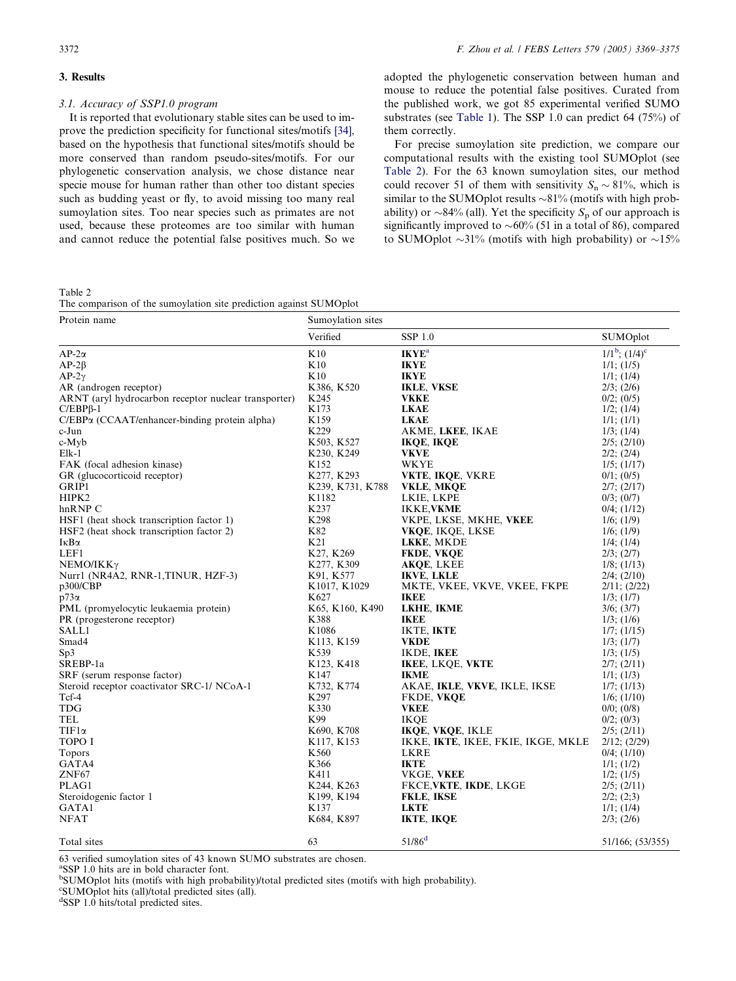#### <span id="page-3-0"></span>3. Results

#### 3.1. Accuracy of SSP1.0 program

It is reported that evolutionary stable sites can be used to improve the prediction specificity for functional sites/motifs [\[34\]](#page-6-0), based on the hypothesis that functional sites/motifs should be more conserved than random pseudo-sites/motifs. For our phylogenetic conservation analysis, we chose distance near specie mouse for human rather than other too distant species such as budding yeast or fly, to avoid missing too many real sumoylation sites. Too near species such as primates are not used, because these proteomes are too similar with human and cannot reduce the potential false positives much. So we

adopted the phylogenetic conservation between human and mouse to reduce the potential false positives. Curated from the published work, we got 85 experimental verified SUMO substrates (see [Table 1\)](#page-1-0). The SSP 1.0 can predict 64 (75%) of them correctly.

For precise sumoylation site prediction, we compare our computational results with the existing tool SUMOplot (see Table 2). For the 63 known sumoylation sites, our method could recover 51 of them with sensitivity  $S_n \sim 81\%$ , which is similar to the SUMOplot results  $\sim 81\%$  (motifs with high probability) or  $\sim 84\%$  (all). Yet the specificity  $S_p$  of our approach is significantly improved to  $\sim 60\%$  (51 in a total of 86), compared to SUMOplot  $\sim$ 31% (motifs with high probability) or  $\sim$ 15%

Table 2

The comparison of the sumoylation site prediction against SUMOplot

| Protein name                                         | Sumoylation sites |                                    |                     |  |
|------------------------------------------------------|-------------------|------------------------------------|---------------------|--|
|                                                      | Verified          | <b>SSP 1.0</b>                     | <b>SUMOplot</b>     |  |
| $AP-2\alpha$                                         | K10               | <b>IKYE</b> <sup>a</sup>           | $1/1^b$ ; $(1/4)^c$ |  |
| $AP-2\beta$                                          | K10               | <b>IKYE</b>                        | $1/1$ ; $(1/5)$     |  |
| $AP-2\gamma$                                         | K10               | <b>IKYE</b>                        | $1/1$ ; $(1/4)$     |  |
| AR (androgen receptor)                               | K386, K520        | <b>IKLE, VKSE</b>                  | $2/3$ ; $(2/6)$     |  |
| ARNT (aryl hydrocarbon receptor nuclear transporter) | K245              | <b>VKKE</b>                        | $0/2$ ; $(0/5)$     |  |
| $C/EBP\beta-1$                                       | K173              | <b>LKAE</b>                        | $1/2$ ; $(1/4)$     |  |
| $C/EBP\alpha$ (CCAAT/enhancer-binding protein alpha) | K <sub>159</sub>  | <b>LKAE</b>                        | $1/1$ ; $(1/1)$     |  |
| c-Jun                                                | K229              | AKME, LKEE, IKAE                   | $1/3$ ; $(1/4)$     |  |
| c-Myb                                                | K503, K527        | <b>IKQE, IKQE</b>                  | $2/5$ ; $(2/10)$    |  |
| $Elk-1$                                              | K230, K249        | <b>VKVE</b>                        | $2/2$ ; $(2/4)$     |  |
| FAK (focal adhesion kinase)                          | K152              | WKYE                               | $1/5$ ; $(1/17)$    |  |
| GR (glucocorticoid receptor)                         | K277, K293        | VKTE, IKQE, VKRE                   | $0/1$ ; $(0/5)$     |  |
| GRIP1                                                | K239, K731, K788  | VKLE, MKQE                         | $2/7$ ; $(2/17)$    |  |
| HIPK2                                                | K1182             | LKIE, LKPE                         | $0/3$ ; $(0/7)$     |  |
| hnRNP C                                              | K <sub>237</sub>  | <b>IKKE, VKME</b>                  | $0/4$ ; $(1/12)$    |  |
| HSF1 (heat shock transcription factor 1)             | K <sub>298</sub>  | VKPE, LKSE, MKHE, VKEE             | $1/6$ ; $(1/9)$     |  |
| HSF2 (heat shock transcription factor 2)             | K82               | VKQE, IKQE, LKSE                   | $1/6$ ; $(1/9)$     |  |
| ΙκΒα                                                 | K21               | LKKE, MKDE                         | $1/4$ ; $(1/4)$     |  |
| LEF1                                                 | K27, K269         | FKDE, VKQE                         | $2/3$ ; $(2/7)$     |  |
| $NEMO/IKK\gamma$                                     | K277, K309        | AKQE, LKEE                         | $1/8$ ; $(1/13)$    |  |
| Nurr1 (NR4A2, RNR-1,TINUR, HZF-3)                    | K91, K577         | <b>IKVE, LKLE</b>                  | $2/4$ ; $(2/10)$    |  |
| p300/CBP                                             | K1017, K1029      | MKTE, VKEE, VKVE, VKEE, FKPE       | $2/11$ ; $(2/22)$   |  |
| p73α                                                 | K627              | <b>IKEE</b>                        | $1/3$ ; $(1/7)$     |  |
| PML (promyelocytic leukaemia protein)                | K65, K160, K490   | LKHE, IKME                         | $3/6$ ; $(3/7)$     |  |
| PR (progesterone receptor)                           | K388              | <b>IKEE</b>                        | $1/3$ ; $(1/6)$     |  |
| <b>SALL1</b>                                         | K1086             | <b>IKTE, IKTE</b>                  | $1/7$ ; $(1/15)$    |  |
| Smad4                                                | K113, K159        | <b>VKDE</b>                        | $1/3$ ; $(1/7)$     |  |
| Sp3                                                  | K539              | IKDE, IKEE                         | $1/3$ ; $(1/5)$     |  |
| SREBP-1a                                             | K123, K418        | <b>IKEE, LKQE, VKTE</b>            | $2/7$ ; $(2/11)$    |  |
| SRF (serum response factor)                          | K147              | <b>IKME</b>                        | $1/1$ ; $(1/3)$     |  |
| Steroid receptor coactivator SRC-1/NCoA-1            | K732, K774        | AKAE, IKLE, VKVE, IKLE, IKSE       | $1/7$ ; $(1/13)$    |  |
| Tcf-4                                                | K <sub>297</sub>  | FKDE, VKQE                         | $1/6$ ; $(1/10)$    |  |
| <b>TDG</b>                                           | K330              | <b>VKEE</b>                        | $0/0$ ; $(0/8)$     |  |
| TEL                                                  | K99               | <b>IKOE</b>                        | $0/2$ ; $(0/3)$     |  |
| $TIF1\alpha$                                         | K690, K708        | <b>IKQE, VKQE, IKLE</b>            | $2/5$ ; $(2/11)$    |  |
| TOPO I                                               | K117, K153        | IKKE, IKTE, IKEE, FKIE, IKGE, MKLE | $2/12$ ; $(2/29)$   |  |
| Topors                                               | K560              | <b>LKRE</b>                        | $0/4$ ; $(1/10)$    |  |
| GATA4                                                | K366              | <b>IKTE</b>                        | $1/1$ ; $(1/2)$     |  |
| ZNF67                                                | K411              | VKGE, VKEE                         | $1/2$ ; $(1/5)$     |  |
| PLAG1                                                | K244, K263        | FKCE, VKTE, IKDE, LKGE             | $2/5$ ; $(2/11)$    |  |
| Steroidogenic factor 1                               | K199, K194        | <b>FKLE, IKSE</b>                  | $2/2$ ; $(2,3)$     |  |
| GATA1                                                | K137              | <b>LKTE</b>                        | $1/1$ ; $(1/4)$     |  |
| <b>NFAT</b>                                          | K684, K897        | IKTE, IKQE                         | $2/3$ ; $(2/6)$     |  |
| Total sites                                          | 63                | $51/86^d$                          | 51/166; (53/355)    |  |

63 verified sumoylation sites of 43 known SUMO substrates are chosen.

a SSP 1.0 hits are in bold character font.

<sup>b</sup>SUMOplot hits (motifs with high probability)/total predicted sites (motifs with high probability).

c SUMOplot hits (all)/total predicted sites (all).

<sup>d</sup>SSP 1.0 hits/total predicted sites.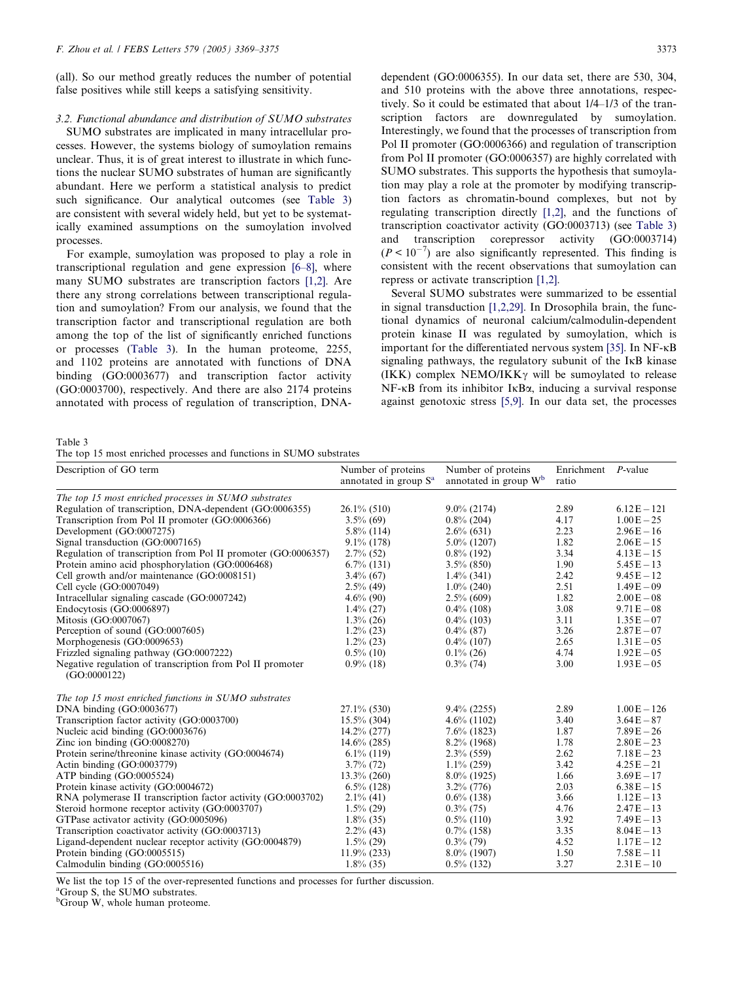(all). So our method greatly reduces the number of potential false positives while still keeps a satisfying sensitivity.

# 3.2. Functional abundance and distribution of SUMO substrates

SUMO substrates are implicated in many intracellular processes. However, the systems biology of sumoylation remains unclear. Thus, it is of great interest to illustrate in which functions the nuclear SUMO substrates of human are significantly abundant. Here we perform a statistical analysis to predict such significance. Our analytical outcomes (see Table 3) are consistent with several widely held, but yet to be systematically examined assumptions on the sumoylation involved processes.

For example, sumoylation was proposed to play a role in transcriptional regulation and gene expression [\[6–8\],](#page-6-0) where many SUMO substrates are transcription factors [\[1,2\]](#page-5-0). Are there any strong correlations between transcriptional regulation and sumoylation? From our analysis, we found that the transcription factor and transcriptional regulation are both among the top of the list of significantly enriched functions or processes (Table 3). In the human proteome, 2255, and 1102 proteins are annotated with functions of DNA binding (GO:0003677) and transcription factor activity (GO:0003700), respectively. And there are also 2174 proteins annotated with process of regulation of transcription, DNA-

dependent (GO:0006355). In our data set, there are 530, 304, and 510 proteins with the above three annotations, respectively. So it could be estimated that about 1/4–1/3 of the transcription factors are downregulated by sumoylation. Interestingly, we found that the processes of transcription from Pol II promoter (GO:0006366) and regulation of transcription from Pol II promoter (GO:0006357) are highly correlated with SUMO substrates. This supports the hypothesis that sumoylation may play a role at the promoter by modifying transcription factors as chromatin-bound complexes, but not by regulating transcription directly [\[1,2\],](#page-5-0) and the functions of transcription coactivator activity (GO:0003713) (see Table 3) and transcription corepressor activity (GO:0003714)  $(P < 10^{-7})$  are also significantly represented. This finding is consistent with the recent observations that sumoylation can repress or activate transcription [\[1,2\].](#page-5-0)

Several SUMO substrates were summarized to be essential in signal transduction [\[1,2,29\]](#page-5-0). In Drosophila brain, the functional dynamics of neuronal calcium/calmodulin-dependent protein kinase II was regulated by sumoylation, which is important for the differentiated nervous system [\[35\].](#page-6-0) In NF- $\kappa$ B signaling pathways, the regulatory subunit of the  $I \kappa B$  kinase (IKK) complex NEMO/IKK $\gamma$  will be sumoylated to release  $NF$ - $\kappa$ B from its inhibitor I $\kappa$ B $\alpha$ , inducing a survival response against genotoxic stress [\[5,9\].](#page-6-0) In our data set, the processes

Table 3

The top 15 most enriched processes and functions in SUMO substrates

| Description of GO term                                                    | Number of proteins<br>annotated in group S <sup>a</sup> | Number of proteins<br>annotated in group W <sup>b</sup> | Enrichment P-value<br>ratio |               |
|---------------------------------------------------------------------------|---------------------------------------------------------|---------------------------------------------------------|-----------------------------|---------------|
| The top 15 most enriched processes in SUMO substrates                     |                                                         |                                                         |                             |               |
| Regulation of transcription, DNA-dependent (GO:0006355)                   | $26.1\%$ (510)                                          | $9.0\%$ (2174)                                          | 2.89                        | $6.12E - 121$ |
| Transcription from Pol II promoter (GO:0006366)                           | $3.5\%$ (69)                                            | $0.8\%$ (204)                                           | 4.17                        | $1.00E - 25$  |
| Development (GO:0007275)                                                  | $5.8\%$ (114)                                           | $2.6\%$ (631)                                           | 2.23                        | $2.96E - 16$  |
| Signal transduction (GO:0007165)                                          | $9.1\%$ (178)                                           | $5.0\%$ (1207)                                          | 1.82                        | $2.06E - 15$  |
| Regulation of transcription from Pol II promoter (GO:0006357)             | $2.7\%$ (52)                                            | $0.8\%$ (192)                                           | 3.34                        | $4.13E - 15$  |
| Protein amino acid phosphorylation (GO:0006468)                           | $6.7\%$ (131)                                           | $3.5\%$ (850)                                           | 1.90                        | $5.45E - 13$  |
| Cell growth and/or maintenance (GO:0008151)                               | $3.4\%$ (67)                                            | $1.4\%$ (341)                                           | 2.42                        | $9.45E - 12$  |
| Cell cycle (GO:0007049)                                                   | $2.5\%$ (49)                                            | $1.0\%$ (240)                                           | 2.51                        | $1.49E - 09$  |
| Intracellular signaling cascade (GO:0007242)                              | $4.6\%$ (90)                                            | $2.5\%$ (609)                                           | 1.82                        | $2.00E - 08$  |
| Endocytosis (GO:0006897)                                                  | $1.4\%$ (27)                                            | $0.4\%$ (108)                                           | 3.08                        | $9.71E - 08$  |
| Mitosis (GO:0007067)                                                      | $1.3\%$ (26)                                            | $0.4\%$ (103)                                           | 3.11                        | $1.35E - 07$  |
| Perception of sound (GO:0007605)                                          | $1.2\%$ (23)                                            | $0.4\%$ (87)                                            | 3.26                        | $2.87E - 07$  |
| Morphogenesis (GO:0009653)                                                | $1.2\%$ (23)                                            | $0.4\%$ (107)                                           | 2.65                        | $1.31 E - 05$ |
| Frizzled signaling pathway (GO:0007222)                                   | $0.5\%$ (10)                                            | $0.1\%$ (26)                                            | 4.74                        | $1.92E - 05$  |
| Negative regulation of transcription from Pol II promoter<br>(GO:0000122) | $0.9\%$ (18)                                            | $0.3\%$ (74)                                            | 3.00                        | $1.93E - 05$  |
| The top 15 most enriched functions in SUMO substrates                     |                                                         |                                                         |                             |               |
| DNA binding $(GO:0003677)$                                                | $27.1\%$ (530)                                          | $9.4\%$ (2255)                                          | 2.89                        | $1.00E - 126$ |
| Transcription factor activity (GO:0003700)                                | $15.5\%$ (304)                                          | $4.6\%$ (1102)                                          | 3.40                        | $3.64E - 87$  |
| Nucleic acid binding (GO:0003676)                                         | $14.2\% (277)$                                          | $7.6\%$ (1823)                                          | 1.87                        | $7.89E - 26$  |
| Zinc ion binding $(GO:0008270)$                                           | $14.6\%$ (285)                                          | $8.2\%$ (1968)                                          | 1.78                        | $2.80E - 23$  |
| Protein serine/threonine kinase activity (GO:0004674)                     | $6.1\%$ (119)                                           | $2.3\%$ (559)                                           | 2.62                        | $7.18E - 23$  |
| Actin binding (GO:0003779)                                                | $3.7\%$ (72)                                            | $1.1\%$ (259)                                           | 3.42                        | $4.25E - 21$  |
| ATP binding (GO:0005524)                                                  | $13.3\%$ (260)                                          | $8.0\%$ (1925)                                          | 1.66                        | $3.69E - 17$  |
| Protein kinase activity (GO:0004672)                                      | $6.5\%$ (128)                                           | $3.2\%$ (776)                                           | 2.03                        | $6.38E - 15$  |
| RNA polymerase II transcription factor activity (GO:0003702)              | $2.1\%$ (41)                                            | $0.6\%$ (138)                                           | 3.66                        | $1.12E - 13$  |
| Steroid hormone receptor activity (GO:0003707)                            | $1.5\%$ (29)                                            | $0.3\%$ (75)                                            | 4.76                        | $2.47E - 13$  |
| GTPase activator activity (GO:0005096)                                    | $1.8\%$ (35)                                            | $0.5\%$ (110)                                           | 3.92                        | $7.49E - 13$  |
| Transcription coactivator activity (GO:0003713)                           | $2.2\%$ (43)                                            | $0.7\%$ (158)                                           | 3.35                        | $8.04E - 13$  |
| Ligand-dependent nuclear receptor activity (GO:0004879)                   | $1.5\%$ (29)                                            | $0.3\%$ (79)                                            | 4.52                        | $1.17E - 12$  |
| Protein binding (GO:0005515)                                              | $11.9\%$ (233)                                          | $8.0\%$ (1907)                                          | 1.50                        | $7.58E - 11$  |
| Calmodulin binding (GO:0005516)                                           | $1.8\%$ (35)                                            | $0.5\%$ (132)                                           | 3.27                        | $2.31 E - 10$ |

We list the top 15 of the over-represented functions and processes for further discussion.

<sup>a</sup>Group S, the SUMO substrates.

 $^{b}$ Group W, whole human proteome.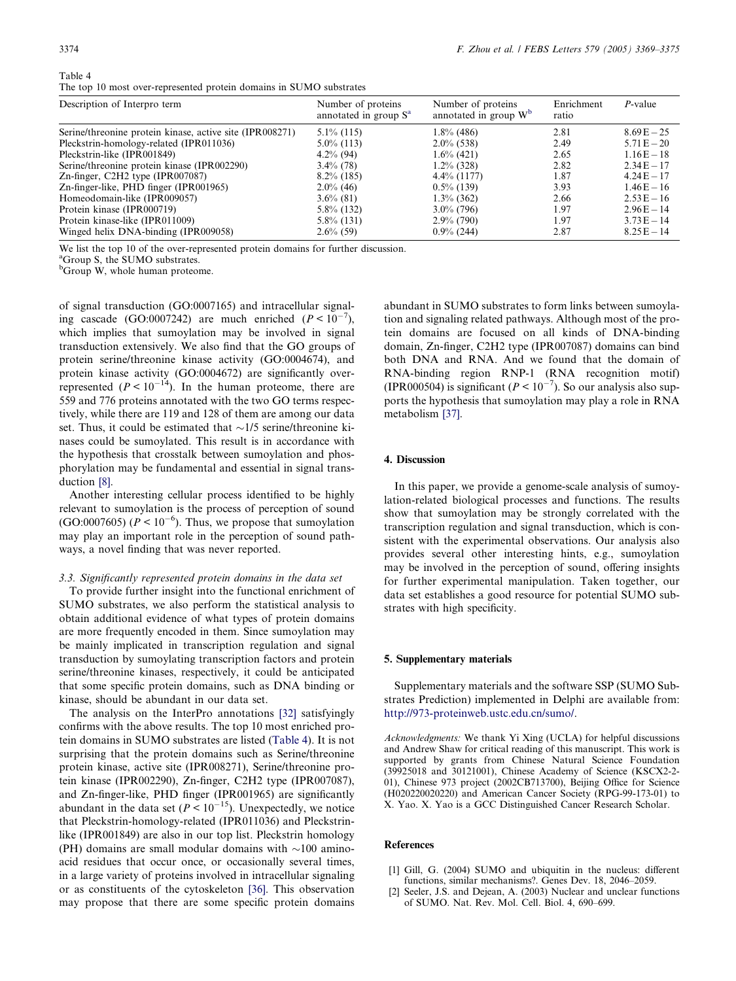<span id="page-5-0"></span>

| Table |  |
|-------|--|
|-------|--|

| The top 10 most over-represented protein domains in SUMO substrates |  |  |  |  |
|---------------------------------------------------------------------|--|--|--|--|
|---------------------------------------------------------------------|--|--|--|--|

| Description of Interpro term                             | Number of proteins<br>annotated in group S <sup>a</sup> | Number of proteins<br>annotated in group $W^b$ | Enrichment<br>ratio | $P$ -value    |
|----------------------------------------------------------|---------------------------------------------------------|------------------------------------------------|---------------------|---------------|
| Serine/threonine protein kinase, active site (IPR008271) | $5.1\%$ (115)                                           | $1.8\%$ (486)                                  | 2.81                | $8.69E - 25$  |
| Pleckstrin-homology-related (IPR011036)                  | $5.0\%$ (113)                                           | $2.0\%$ (538)                                  | 2.49                | $5.71 E - 20$ |
| Pleckstrin-like (IPR001849)                              | $4.2\%$ (94)                                            | $1.6\%$ (421)                                  | 2.65                | $1.16E - 18$  |
| Serine/threonine protein kinase (IPR002290)              | $3.4\%$ (78)                                            | $1.2\%$ (328)                                  | 2.82                | $2.34E - 17$  |
| $Zn$ -finger, C2H2 type (IPR007087)                      | $8.2\%$ (185)                                           | $4.4\%$ (1177)                                 | 1.87                | $4.24E - 17$  |
| Zn-finger-like, PHD finger (IPR001965)                   | $2.0\%$ (46)                                            | $0.5\%$ (139)                                  | 3.93                | $1.46E - 16$  |
| Homeodomain-like (IPR009057)                             | $3.6\%$ (81)                                            | $1.3\%$ (362)                                  | 2.66                | $2.53E - 16$  |
| Protein kinase (IPR000719)                               | $5.8\%$ (132)                                           | $3.0\%$ (796)                                  | 1.97                | $2.96E - 14$  |
| Protein kinase-like (IPR011009)                          | $5.8\%$ (131)                                           | $2.9\%$ (790)                                  | 1.97                | $3.73E - 14$  |
| Winged helix DNA-binding (IPR009058)                     | $2.6\%$ (59)                                            | $0.9\%$ (244)                                  | 2.87                | $8.25E - 14$  |

We list the top 10 of the over-represented protein domains for further discussion.

<sup>a</sup>Group S, the SUMO substrates.

 ${}^{\text{b}}$ Group W, whole human proteome.

of signal transduction (GO:0007165) and intracellular signaling cascade (GO:0007242) are much enriched  $(P < 10^{-7})$ , which implies that sumoylation may be involved in signal transduction extensively. We also find that the GO groups of protein serine/threonine kinase activity (GO:0004674), and protein kinase activity (GO:0004672) are significantly overrepresented  $(P < 10^{-14})$ . In the human proteome, there are 559 and 776 proteins annotated with the two GO terms respectively, while there are 119 and 128 of them are among our data set. Thus, it could be estimated that  $\sim$ 1/5 serine/threonine kinases could be sumoylated. This result is in accordance with the hypothesis that crosstalk between sumoylation and phosphorylation may be fundamental and essential in signal transduction [\[8\]](#page-6-0).

Another interesting cellular process identified to be highly relevant to sumoylation is the process of perception of sound (GO:0007605) ( $P < 10^{-6}$ ). Thus, we propose that sumoylation may play an important role in the perception of sound pathways, a novel finding that was never reported.

#### 3.3. Significantly represented protein domains in the data set

To provide further insight into the functional enrichment of SUMO substrates, we also perform the statistical analysis to obtain additional evidence of what types of protein domains are more frequently encoded in them. Since sumoylation may be mainly implicated in transcription regulation and signal transduction by sumoylating transcription factors and protein serine/threonine kinases, respectively, it could be anticipated that some specific protein domains, such as DNA binding or kinase, should be abundant in our data set.

The analysis on the InterPro annotations [\[32\]](#page-6-0) satisfyingly confirms with the above results. The top 10 most enriched protein domains in SUMO substrates are listed (Table 4). It is not surprising that the protein domains such as Serine/threonine protein kinase, active site (IPR008271), Serine/threonine protein kinase (IPR002290), Zn-finger, C2H2 type (IPR007087), and Zn-finger-like, PHD finger (IPR001965) are significantly abundant in the data set ( $P < 10^{-15}$ ). Unexpectedly, we notice that Pleckstrin-homology-related (IPR011036) and Pleckstrinlike (IPR001849) are also in our top list. Pleckstrin homology (PH) domains are small modular domains with  $\sim$ 100 aminoacid residues that occur once, or occasionally several times, in a large variety of proteins involved in intracellular signaling or as constituents of the cytoskeleton [\[36\].](#page-6-0) This observation may propose that there are some specific protein domains

abundant in SUMO substrates to form links between sumoylation and signaling related pathways. Although most of the protein domains are focused on all kinds of DNA-binding domain, Zn-finger, C2H2 type (IPR007087) domains can bind both DNA and RNA. And we found that the domain of RNA-binding region RNP-1 (RNA recognition motif) (IPR000504) is significant ( $P < 10^{-7}$ ). So our analysis also supports the hypothesis that sumoylation may play a role in RNA metabolism [\[37\].](#page-6-0)

# 4. Discussion

In this paper, we provide a genome-scale analysis of sumoylation-related biological processes and functions. The results show that sumoylation may be strongly correlated with the transcription regulation and signal transduction, which is consistent with the experimental observations. Our analysis also provides several other interesting hints, e.g., sumoylation may be involved in the perception of sound, offering insights for further experimental manipulation. Taken together, our data set establishes a good resource for potential SUMO substrates with high specificity.

### 5. Supplementary materials

Supplementary materials and the software SSP (SUMO Substrates Prediction) implemented in Delphi are available from: [http://973-proteinweb.ustc.edu.cn/sumo/.](http://973-proteinweb.ustc.edu.cn/sumo/)

Acknowledgments: We thank Yi Xing (UCLA) for helpful discussions and Andrew Shaw for critical reading of this manuscript. This work is supported by grants from Chinese Natural Science Foundation (39925018 and 30121001), Chinese Academy of Science (KSCX2-2- 01), Chinese 973 project (2002CB713700), Beijing Office for Science (H020220020220) and American Cancer Society (RPG-99-173-01) to X. Yao. X. Yao is a GCC Distinguished Cancer Research Scholar.

#### **References**

- [1] Gill, G. (2004) SUMO and ubiquitin in the nucleus: different functions, similar mechanisms?. Genes Dev. 18, 2046–2059.
- [2] Seeler, J.S. and Dejean, A. (2003) Nuclear and unclear functions of SUMO. Nat. Rev. Mol. Cell. Biol. 4, 690–699.